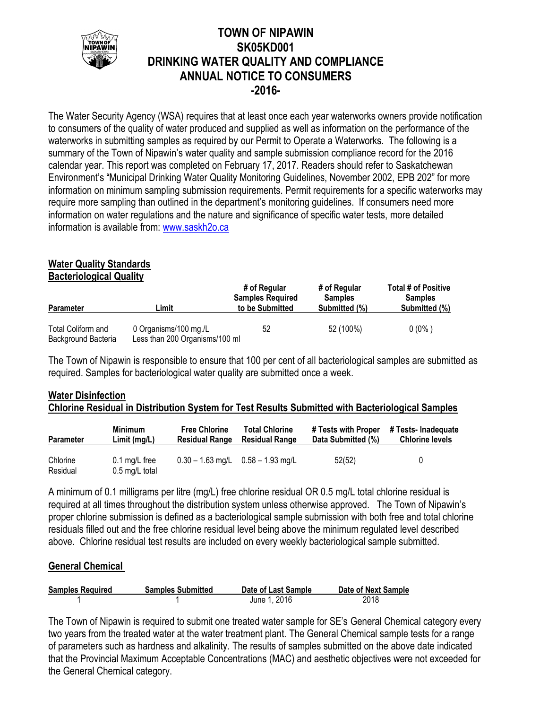

# **TOWN OF NIPAWIN SK05KD001 DRINKING WATER QUALITY AND COMPLIANCE ANNUAL NOTICE TO CONSUMERS -2016-**

The Water Security Agency (WSA) requires that at least once each year waterworks owners provide notification to consumers of the quality of water produced and supplied as well as information on the performance of the waterworks in submitting samples as required by our Permit to Operate a Waterworks. The following is a summary of the Town of Nipawin's water quality and sample submission compliance record for the 2016 calendar year. This report was completed on February 17, 2017. Readers should refer to Saskatchewan Environment's "Municipal Drinking Water Quality Monitoring Guidelines, November 2002, EPB 202" for more information on minimum sampling submission requirements. Permit requirements for a specific waterworks may require more sampling than outlined in the department's monitoring guidelines. If consumers need more information on water regulations and the nature and significance of specific water tests, more detailed information is available from: [www.saskh2o.ca](http://www.saskh2o.ca/)

# **Water Quality Standards**

**Bacteriological Quality**

| <b>Parameter</b>                          | Limit                                                   | # of Regular<br><b>Samples Required</b><br>to be Submitted | # of Regular<br><b>Samples</b><br>Submitted (%) | Total # of Positive<br><b>Samples</b><br>Submitted (%) |  |
|-------------------------------------------|---------------------------------------------------------|------------------------------------------------------------|-------------------------------------------------|--------------------------------------------------------|--|
| Total Coliform and<br>Background Bacteria | 0 Organisms/100 mg./L<br>Less than 200 Organisms/100 ml | 52                                                         | 52 (100%)                                       | $0(0\%)$                                               |  |

The Town of Nipawin is responsible to ensure that 100 per cent of all bacteriological samples are submitted as required. Samples for bacteriological water quality are submitted once a week.

## **Water Disinfection Chlorine Residual in Distribution System for Test Results Submitted with Bacteriological Samples**

| <b>Parameter</b>     | <b>Minimum</b>                            | <b>Free Chlorine</b>  | <b>Total Chlorine</b>                 | # Tests with Proper | # Tests- Inadequate    |  |
|----------------------|-------------------------------------------|-----------------------|---------------------------------------|---------------------|------------------------|--|
|                      | Limit(mg/L)                               | <b>Residual Range</b> | <b>Residual Range</b>                 | Data Submitted (%)  | <b>Chlorine levels</b> |  |
| Chlorine<br>Residual | $0.1 \text{ mg/L}$ free<br>0.5 mg/L total |                       | $0.30 - 1.63$ mg/L $0.58 - 1.93$ mg/L | 52(52)              | 0                      |  |

A minimum of 0.1 milligrams per litre (mg/L) free chlorine residual OR 0.5 mg/L total chlorine residual is required at all times throughout the distribution system unless otherwise approved. The Town of Nipawin's proper chlorine submission is defined as a bacteriological sample submission with both free and total chlorine residuals filled out and the free chlorine residual level being above the minimum regulated level described above. Chlorine residual test results are included on every weekly bacteriological sample submitted.

## **General Chemical**

| <b>Samples Required</b> | <b>Samples Submitted</b> | Date of Last Sample | Date of Next Sample |
|-------------------------|--------------------------|---------------------|---------------------|
|                         |                          | June 1, 2016        | 2018                |

The Town of Nipawin is required to submit one treated water sample for SE's General Chemical category every two years from the treated water at the water treatment plant. The General Chemical sample tests for a range of parameters such as hardness and alkalinity. The results of samples submitted on the above date indicated that the Provincial Maximum Acceptable Concentrations (MAC) and aesthetic objectives were not exceeded for the General Chemical category.